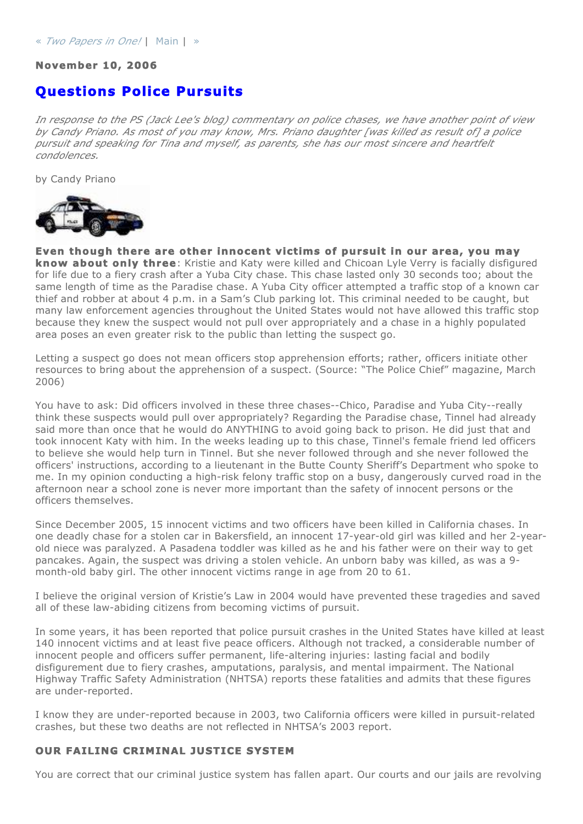#### **November 10, 2006**

# **Questions Police Pursuits**

*In response to the PS (Jack Lee's blog) commentary on police chases, we have another point of view by Candy Priano. As most of you may know, Mrs. Priano daughter [was killed as result of] a police pursuit and speaking for Tina and myself, as parents, she has our most sincere and heartfelt condolences.*

by Candy Priano



**Even though there are other innocent victims of pursuit in our area, you may know about only three**: Kristie and Katy were killed and Chicoan Lyle Verry is facially disfigured for life due to a fiery crash after a Yuba City chase. This chase lasted only 30 seconds too; about the same length of time as the Paradise chase. A Yuba City officer attempted a traffic stop of a known car thief and robber at about 4 p.m. in a Sam's Club parking lot. This criminal needed to be caught, but many law enforcement agencies throughout the United States would not have allowed this traffic stop because they knew the suspect would not pull over appropriately and a chase in a highly populated area poses an even greater risk to the public than letting the suspect go.

Letting a suspect go does not mean officers stop apprehension efforts; rather, officers initiate other resources to bring about the apprehension of a suspect. (Source: "The Police Chief" magazine, March 2006)

You have to ask: Did officers involved in these three chases--Chico, Paradise and Yuba City--really think these suspects would pull over appropriately? Regarding the Paradise chase, Tinnel had already said more than once that he would do ANYTHING to avoid going back to prison. He did just that and took innocent Katy with him. In the weeks leading up to this chase, Tinnel's female friend led officers to believe she would help turn in Tinnel. But she never followed through and she never followed the officers' instructions, according to a lieutenant in the Butte County Sheriff's Department who spoke to me. In my opinion conducting a high-risk felony traffic stop on a busy, dangerously curved road in the afternoon near a school zone is never more important than the safety of innocent persons or the officers themselves.

Since December 2005, 15 innocent victims and two officers have been killed in California chases. In one deadly chase for a stolen car in Bakersfield, an innocent 17-year-old girl was killed and her 2-yearold niece was paralyzed. A Pasadena toddler was killed as he and his father were on their way to get pancakes. Again, the suspect was driving a stolen vehicle. An unborn baby was killed, as was a 9 month-old baby girl. The other innocent victims range in age from 20 to 61.

I believe the original version of Kristie's Law in 2004 would have prevented these tragedies and saved all of these law-abiding citizens from becoming victims of pursuit.

In some years, it has been reported that police pursuit crashes in the United States have killed at least 140 innocent victims and at least five peace officers. Although not tracked, a considerable number of innocent people and officers suffer permanent, life-altering injuries: lasting facial and bodily disfigurement due to fiery crashes, amputations, paralysis, and mental impairment. The National Highway Traffic Safety Administration (NHTSA) reports these fatalities and admits that these figures are under-reported.

I know they are under-reported because in 2003, two California officers were killed in pursuit-related crashes, but these two deaths are not reflected in NHTSA's 2003 report.

#### **OUR FAILING CRIMINAL JUSTICE SYSTEM**

You are correct that our criminal justice system has fallen apart. Our courts and our jails are revolving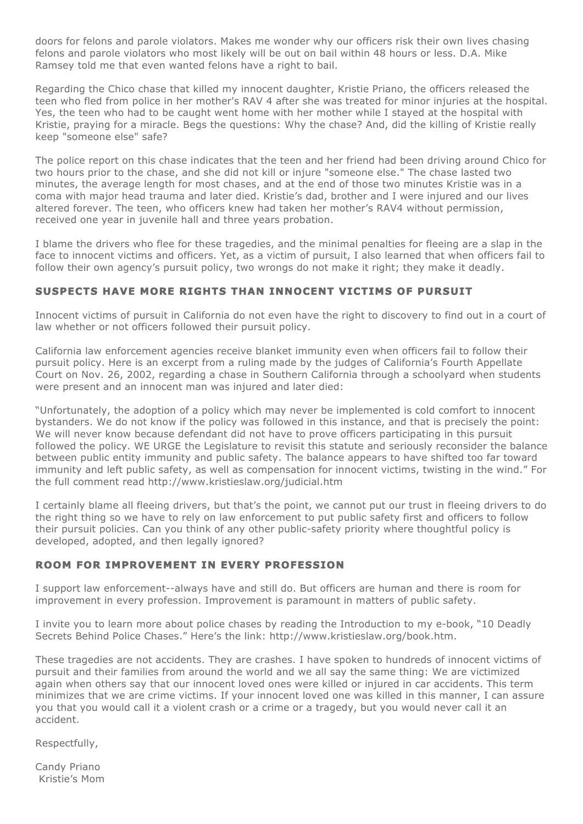doors for felons and parole violators. Makes me wonder why our officers risk their own lives chasing felons and parole violators who most likely will be out on bail within 48 hours or less. D.A. Mike Ramsey told me that even wanted felons have a right to bail.

Regarding the Chico chase that killed my innocent daughter, Kristie Priano, the officers released the teen who fled from police in her mother's RAV 4 after she was treated for minor injuries at the hospital. Yes, the teen who had to be caught went home with her mother while I stayed at the hospital with Kristie, praying for a miracle. Begs the questions: Why the chase? And, did the killing of Kristie really keep "someone else" safe?

The police report on this chase indicates that the teen and her friend had been driving around Chico for two hours prior to the chase, and she did not kill or injure "someone else." The chase lasted two minutes, the average length for most chases, and at the end of those two minutes Kristie was in a coma with major head trauma and later died. Kristie's dad, brother and I were injured and our lives altered forever. The teen, who officers knew had taken her mother's RAV4 without permission, received one year in juvenile hall and three years probation.

I blame the drivers who flee for these tragedies, and the minimal penalties for fleeing are a slap in the face to innocent victims and officers. Yet, as a victim of pursuit, I also learned that when officers fail to follow their own agency's pursuit policy, two wrongs do not make it right; they make it deadly.

# **SUSPECTS HAVE MORE RIGHTS THAN INNOCENT VICTIMS OF PURSUIT**

Innocent victims of pursuit in California do not even have the right to discovery to find out in a court of law whether or not officers followed their pursuit policy.

California law enforcement agencies receive blanket immunity even when officers fail to follow their pursuit policy. Here is an excerpt from a ruling made by the judges of California's Fourth Appellate Court on Nov. 26, 2002, regarding a chase in Southern California through a schoolyard when students were present and an innocent man was injured and later died:

"Unfortunately, the adoption of a policy which may never be implemented is cold comfort to innocent bystanders. We do not know if the policy was followed in this instance, and that is precisely the point: We will never know because defendant did not have to prove officers participating in this pursuit followed the policy. WE URGE the Legislature to revisit this statute and seriously reconsider the balance between public entity immunity and public safety. The balance appears to have shifted too far toward immunity and left public safety, as well as compensation for innocent victims, twisting in the wind." For the full comment read http://www.kristieslaw.org/judicial.htm

I certainly blame all fleeing drivers, but that's the point, we cannot put our trust in fleeing drivers to do the right thing so we have to rely on law enforcement to put public safety first and officers to follow their pursuit policies. Can you think of any other public-safety priority where thoughtful policy is developed, adopted, and then legally ignored?

# **ROOM FOR IMPROVEMENT IN EVERY PROFESSION**

I support law enforcement--always have and still do. But officers are human and there is room for improvement in every profession. Improvement is paramount in matters of public safety.

I invite you to learn more about police chases by reading the Introduction to my e-book, "10 Deadly Secrets Behind Police Chases." Here's the link: http://www.kristieslaw.org/book.htm.

These tragedies are not accidents. They are crashes. I have spoken to hundreds of innocent victims of pursuit and their families from around the world and we all say the same thing: We are victimized again when others say that our innocent loved ones were killed or injured in car accidents. This term minimizes that we are crime victims. If your innocent loved one was killed in this manner, I can assure you that you would call it a violent crash or a crime or a tragedy, but you would never call it an accident.

Respectfully,

Candy Priano Kristie's Mom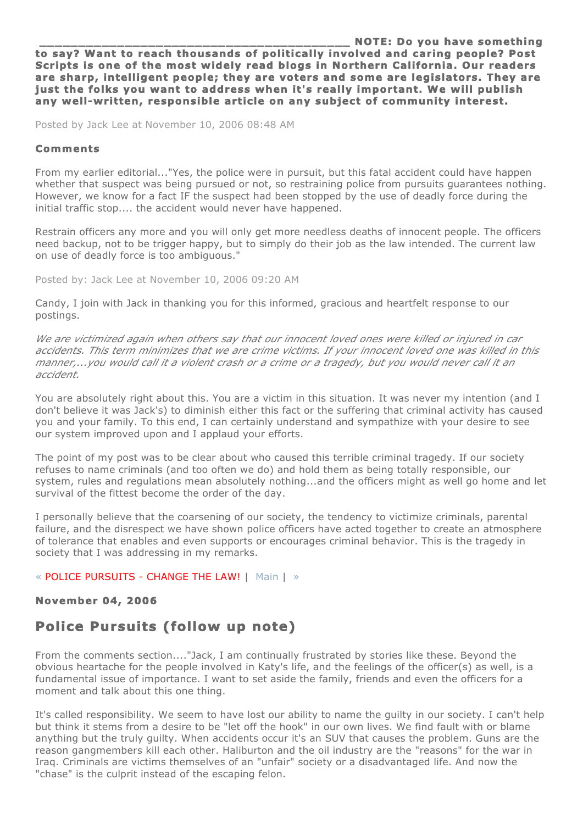**NOTE: Do you have something to say? Want to reach thousands of politically involved and caring people? Post Scripts is one of the most widely read blogs in Northern California. Our readers are sharp, intelligent people; they are voters and some are legislators. They are just the folks you want to address when it's really important. We will publish any well-written, responsible article on any subject of community interest.** 

Posted by Jack Lee at November 10, 2006 08:48 AM

#### **Comments**

From my earlier editorial..."Yes, the police were in pursuit, but this fatal accident could have happen whether that suspect was being pursued or not, so restraining police from pursuits guarantees nothing. However, we know for a fact IF the suspect had been stopped by the use of deadly force during the initial traffic stop.... the accident would never have happened.

Restrain officers any more and you will only get more needless deaths of innocent people. The officers need backup, not to be trigger happy, but to simply do their job as the law intended. The current law on use of deadly force is too ambiguous."

Posted by: Jack Lee at November 10, 2006 09:20 AM

Candy, I join with Jack in thanking you for this informed, gracious and heartfelt response to our postings.

*We are victimized again when others say that our innocent loved ones were killed or injured in car accidents. This term minimizes that we are crime victims. If your innocent loved one was killed in this manner,...you would call it a violent crash or a crime or a tragedy, but you would never call it an accident.*

You are absolutely right about this. You are a victim in this situation. It was never my intention (and I don't believe it was Jack's) to diminish either this fact or the suffering that criminal activity has caused you and your family. To this end, I can certainly understand and sympathize with your desire to see our system improved upon and I applaud your efforts.

The point of my post was to be clear about who caused this terrible criminal tragedy. If our society refuses to name criminals (and too often we do) and hold them as being totally responsible, our system, rules and regulations mean absolutely nothing...and the officers might as well go home and let survival of the fittest become the order of the day.

I personally believe that the coarsening of our society, the tendency to victimize criminals, parental failure, and the disrespect we have shown police officers have acted together to create an atmosphere of tolerance that enables and even supports or encourages criminal behavior. This is the tragedy in society that I was addressing in my remarks.

# « POLICE PURSUITS - CHANGE THE LAW! | Main | »

# **November 04, 2006**

# **Police Pursuits (follow up note)**

From the comments section...."Jack, I am continually frustrated by stories like these. Beyond the obvious heartache for the people involved in Katy's life, and the feelings of the officer(s) as well, is a fundamental issue of importance. I want to set aside the family, friends and even the officers for a moment and talk about this one thing.

It's called responsibility. We seem to have lost our ability to name the guilty in our society. I can't help but think it stems from a desire to be "let off the hook" in our own lives. We find fault with or blame anything but the truly guilty. When accidents occur it's an SUV that causes the problem. Guns are the reason gangmembers kill each other. Haliburton and the oil industry are the "reasons" for the war in Iraq. Criminals are victims themselves of an "unfair" society or a disadvantaged life. And now the "chase" is the culprit instead of the escaping felon.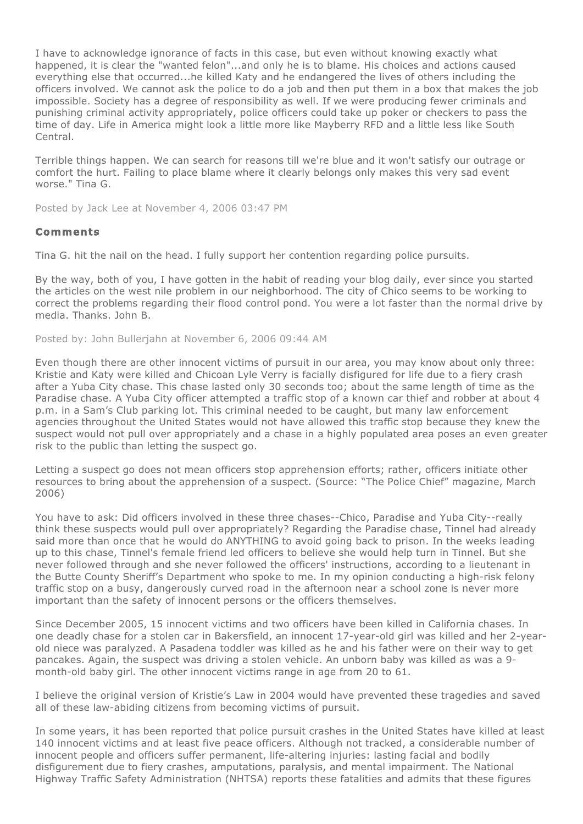I have to acknowledge ignorance of facts in this case, but even without knowing exactly what happened, it is clear the "wanted felon"...and only he is to blame. His choices and actions caused everything else that occurred...he killed Katy and he endangered the lives of others including the officers involved. We cannot ask the police to do a job and then put them in a box that makes the job impossible. Society has a degree of responsibility as well. If we were producing fewer criminals and punishing criminal activity appropriately, police officers could take up poker or checkers to pass the time of day. Life in America might look a little more like Mayberry RFD and a little less like South Central.

Terrible things happen. We can search for reasons till we're blue and it won't satisfy our outrage or comfort the hurt. Failing to place blame where it clearly belongs only makes this very sad event worse." Tina G.

Posted by Jack Lee at November 4, 2006 03:47 PM

## **Comments**

Tina G. hit the nail on the head. I fully support her contention regarding police pursuits.

By the way, both of you, I have gotten in the habit of reading your blog daily, ever since you started the articles on the west nile problem in our neighborhood. The city of Chico seems to be working to correct the problems regarding their flood control pond. You were a lot faster than the normal drive by media. Thanks. John B.

Posted by: John Bullerjahn at November 6, 2006 09:44 AM

Even though there are other innocent victims of pursuit in our area, you may know about only three: Kristie and Katy were killed and Chicoan Lyle Verry is facially disfigured for life due to a fiery crash after a Yuba City chase. This chase lasted only 30 seconds too; about the same length of time as the Paradise chase. A Yuba City officer attempted a traffic stop of a known car thief and robber at about 4 p.m. in a Sam's Club parking lot. This criminal needed to be caught, but many law enforcement agencies throughout the United States would not have allowed this traffic stop because they knew the suspect would not pull over appropriately and a chase in a highly populated area poses an even greater risk to the public than letting the suspect go.

Letting a suspect go does not mean officers stop apprehension efforts; rather, officers initiate other resources to bring about the apprehension of a suspect. (Source: "The Police Chief" magazine, March 2006)

You have to ask: Did officers involved in these three chases--Chico, Paradise and Yuba City--really think these suspects would pull over appropriately? Regarding the Paradise chase, Tinnel had already said more than once that he would do ANYTHING to avoid going back to prison. In the weeks leading up to this chase, Tinnel's female friend led officers to believe she would help turn in Tinnel. But she never followed through and she never followed the officers' instructions, according to a lieutenant in the Butte County Sheriff's Department who spoke to me. In my opinion conducting a high-risk felony traffic stop on a busy, dangerously curved road in the afternoon near a school zone is never more important than the safety of innocent persons or the officers themselves.

Since December 2005, 15 innocent victims and two officers have been killed in California chases. In one deadly chase for a stolen car in Bakersfield, an innocent 17-year-old girl was killed and her 2-yearold niece was paralyzed. A Pasadena toddler was killed as he and his father were on their way to get pancakes. Again, the suspect was driving a stolen vehicle. An unborn baby was killed as was a 9 month-old baby girl. The other innocent victims range in age from 20 to 61.

I believe the original version of Kristie's Law in 2004 would have prevented these tragedies and saved all of these law-abiding citizens from becoming victims of pursuit.

In some years, it has been reported that police pursuit crashes in the United States have killed at least 140 innocent victims and at least five peace officers. Although not tracked, a considerable number of innocent people and officers suffer permanent, life-altering injuries: lasting facial and bodily disfigurement due to fiery crashes, amputations, paralysis, and mental impairment. The National Highway Traffic Safety Administration (NHTSA) reports these fatalities and admits that these figures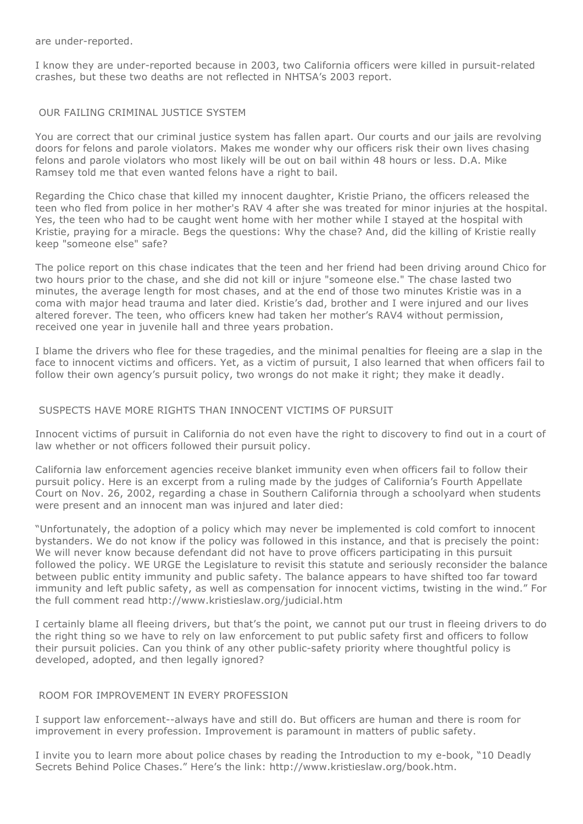are under-reported.

I know they are under-reported because in 2003, two California officers were killed in pursuit-related crashes, but these two deaths are not reflected in NHTSA's 2003 report.

#### OUR FAILING CRIMINAL JUSTICE SYSTEM

You are correct that our criminal justice system has fallen apart. Our courts and our jails are revolving doors for felons and parole violators. Makes me wonder why our officers risk their own lives chasing felons and parole violators who most likely will be out on bail within 48 hours or less. D.A. Mike Ramsey told me that even wanted felons have a right to bail.

Regarding the Chico chase that killed my innocent daughter, Kristie Priano, the officers released the teen who fled from police in her mother's RAV 4 after she was treated for minor injuries at the hospital. Yes, the teen who had to be caught went home with her mother while I stayed at the hospital with Kristie, praying for a miracle. Begs the questions: Why the chase? And, did the killing of Kristie really keep "someone else" safe?

The police report on this chase indicates that the teen and her friend had been driving around Chico for two hours prior to the chase, and she did not kill or injure "someone else." The chase lasted two minutes, the average length for most chases, and at the end of those two minutes Kristie was in a coma with major head trauma and later died. Kristie's dad, brother and I were injured and our lives altered forever. The teen, who officers knew had taken her mother's RAV4 without permission, received one year in juvenile hall and three years probation.

I blame the drivers who flee for these tragedies, and the minimal penalties for fleeing are a slap in the face to innocent victims and officers. Yet, as a victim of pursuit, I also learned that when officers fail to follow their own agency's pursuit policy, two wrongs do not make it right; they make it deadly.

#### SUSPECTS HAVE MORE RIGHTS THAN INNOCENT VICTIMS OF PURSUIT

Innocent victims of pursuit in California do not even have the right to discovery to find out in a court of law whether or not officers followed their pursuit policy.

California law enforcement agencies receive blanket immunity even when officers fail to follow their pursuit policy. Here is an excerpt from a ruling made by the judges of California's Fourth Appellate Court on Nov. 26, 2002, regarding a chase in Southern California through a schoolyard when students were present and an innocent man was injured and later died:

"Unfortunately, the adoption of a policy which may never be implemented is cold comfort to innocent bystanders. We do not know if the policy was followed in this instance, and that is precisely the point: We will never know because defendant did not have to prove officers participating in this pursuit followed the policy. WE URGE the Legislature to revisit this statute and seriously reconsider the balance between public entity immunity and public safety. The balance appears to have shifted too far toward immunity and left public safety, as well as compensation for innocent victims, twisting in the wind." For the full comment read http://www.kristieslaw.org/judicial.htm

I certainly blame all fleeing drivers, but that's the point, we cannot put our trust in fleeing drivers to do the right thing so we have to rely on law enforcement to put public safety first and officers to follow their pursuit policies. Can you think of any other public-safety priority where thoughtful policy is developed, adopted, and then legally ignored?

## ROOM FOR IMPROVEMENT IN EVERY PROFESSION

I support law enforcement--always have and still do. But officers are human and there is room for improvement in every profession. Improvement is paramount in matters of public safety.

I invite you to learn more about police chases by reading the Introduction to my e-book, "10 Deadly Secrets Behind Police Chases." Here's the link: http://www.kristieslaw.org/book.htm.